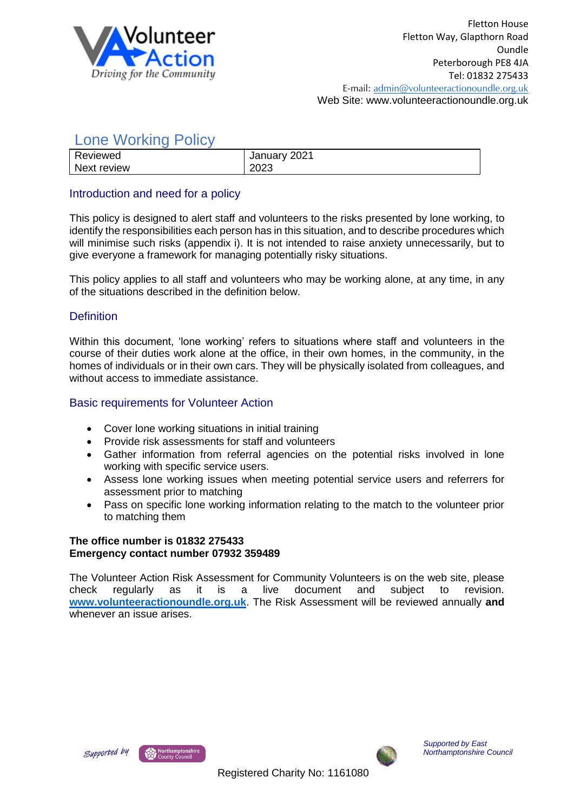

# Lone Working Policy

| Reviewed    | January 2021 |
|-------------|--------------|
| Next review | 2023         |
|             |              |

# Introduction and need for a policy

This policy is designed to alert staff and volunteers to the risks presented by lone working, to identify the responsibilities each person has in this situation, and to describe procedures which will minimise such risks (appendix i). It is not intended to raise anxiety unnecessarily, but to give everyone a framework for managing potentially risky situations.

This policy applies to all staff and volunteers who may be working alone, at any time, in any of the situations described in the definition below.

## **Definition**

Within this document, 'lone working' refers to situations where staff and volunteers in the course of their duties work alone at the office, in their own homes, in the community, in the homes of individuals or in their own cars. They will be physically isolated from colleagues, and without access to immediate assistance.

### Basic requirements for Volunteer Action

- Cover lone working situations in initial training
- Provide risk assessments for staff and volunteers
- Gather information from referral agencies on the potential risks involved in lone working with specific service users.
- Assess lone working issues when meeting potential service users and referrers for assessment prior to matching
- Pass on specific lone working information relating to the match to the volunteer prior to matching them

#### **The office number is 01832 275433 Emergency contact number 07932 359489**

The Volunteer Action Risk Assessment for Community Volunteers is on the web site, please check regularly as it is a live document and subject to revision. **[www.volunteeractionoundle.org.uk](http://www.volunteeractionoundle.org.uk/)**. The Risk Assessment will be reviewed annually **and** whenever an issue arises.